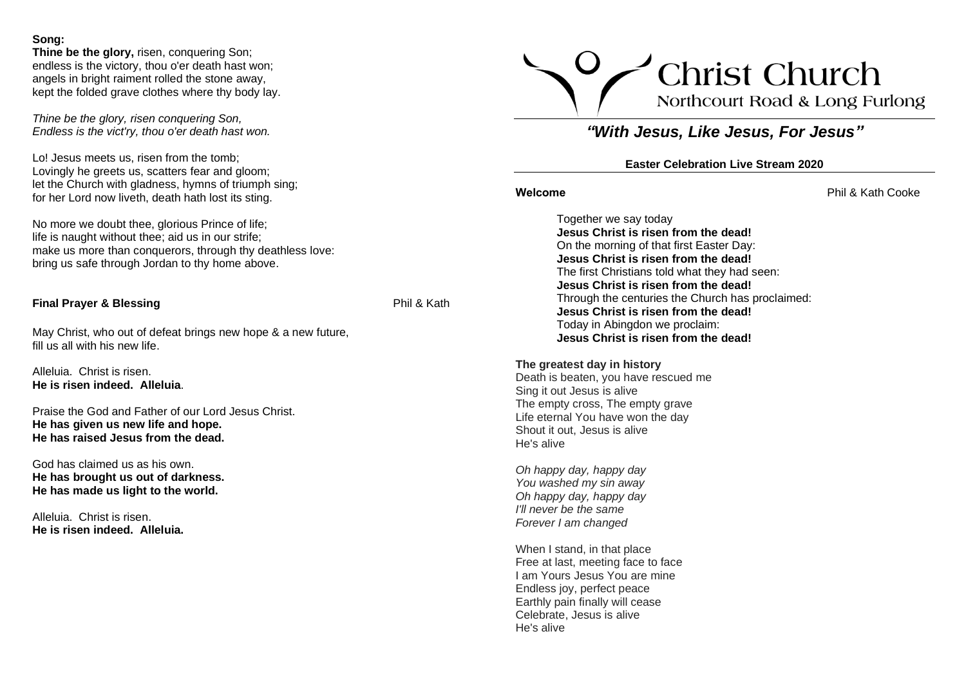### **Song:**

**Thine be the glory,** risen, conquering Son; endless is the victory, thou o'er death hast won; angels in bright raiment rolled the stone away, kept the folded grave clothes where thy body lay.

*Thine be the glory, risen conquering Son, Endless is the vict'ry, thou o'er death hast won.*

Lo! Jesus meets us, risen from the tomb; Lovingly he greets us, scatters fear and gloom; let the Church with gladness, hymns of triumph sing; for her Lord now liveth, death hath lost its sting.

No more we doubt thee, glorious Prince of life; life is naught without thee; aid us in our strife; make us more than conquerors, through thy deathless love: bring us safe through Jordan to thy home above.

# **Final Prayer & Blessing Phil & Kath**

May Christ, who out of defeat brings new hope & a new future, fill us all with his new life.

Alleluia. Christ is risen. **He is risen indeed. Alleluia**.

Praise the God and Father of our Lord Jesus Christ. **He has given us new life and hope. He has raised Jesus from the dead.**

God has claimed us as his own. **He has brought us out of darkness. He has made us light to the world.**

Alleluia. Christ is risen. **He is risen indeed. Alleluia.**



# *"With Jesus, Like Jesus, For Jesus"*

# **Easter Celebration Live Stream 2020**

**Welcome** Phil & Kath Cooke

Together we say today **Jesus Christ is risen from the dead!** On the morning of that first Easter Day: **Jesus Christ is risen from the dead!** The first Christians told what they had seen: **Jesus Christ is risen from the dead!** Through the centuries the Church has proclaimed: **Jesus Christ is risen from the dead!** Today in Abingdon we proclaim: **Jesus Christ is risen from the dead!**

#### **The greatest day in history**

Death is beaten, you have rescued me Sing it out Jesus is alive The empty cross, The empty grave Life eternal You have won the day Shout it out, Jesus is alive He's alive

*Oh happy day, happy day You washed my sin away Oh happy day, happy day I'll never be the same Forever I am changed*

When I stand, in that place Free at last, meeting face to face I am Yours Jesus You are mine Endless joy, perfect peace Earthly pain finally will cease Celebrate, Jesus is alive He's alive